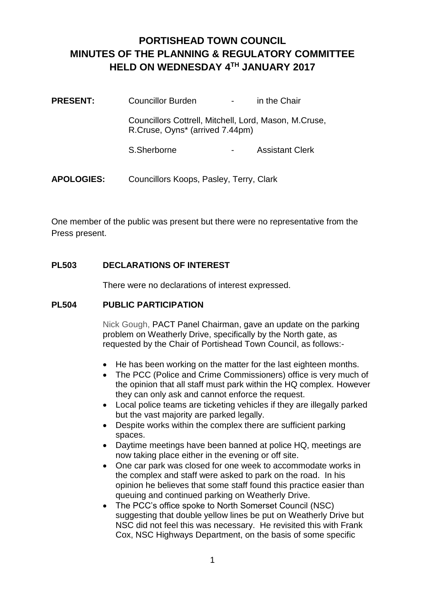# **PORTISHEAD TOWN COUNCIL MINUTES OF THE PLANNING & REGULATORY COMMITTEE HELD ON WEDNESDAY 4TH JANUARY 2017**

| <b>PRESENT:</b>   | Councillor Burden                                                                        |  | in the Chair           |
|-------------------|------------------------------------------------------------------------------------------|--|------------------------|
|                   | Councillors Cottrell, Mitchell, Lord, Mason, M.Cruse,<br>R.Cruse, Oyns* (arrived 7.44pm) |  |                        |
|                   | S.Sherborne                                                                              |  | <b>Assistant Clerk</b> |
| <b>APOLOGIES:</b> | Councillors Koops, Pasley, Terry, Clark                                                  |  |                        |

One member of the public was present but there were no representative from the Press present.

# **PL503 DECLARATIONS OF INTEREST**

There were no declarations of interest expressed.

## **PL504 PUBLIC PARTICIPATION**

Nick Gough, PACT Panel Chairman, gave an update on the parking problem on Weatherly Drive, specifically by the North gate, as requested by the Chair of Portishead Town Council, as follows:-

- He has been working on the matter for the last eighteen months.
- The PCC (Police and Crime Commissioners) office is very much of the opinion that all staff must park within the HQ complex. However they can only ask and cannot enforce the request.
- Local police teams are ticketing vehicles if they are illegally parked but the vast majority are parked legally.
- Despite works within the complex there are sufficient parking spaces.
- Daytime meetings have been banned at police HQ, meetings are now taking place either in the evening or off site.
- One car park was closed for one week to accommodate works in the complex and staff were asked to park on the road. In his opinion he believes that some staff found this practice easier than queuing and continued parking on Weatherly Drive.
- The PCC's office spoke to North Somerset Council (NSC) suggesting that double yellow lines be put on Weatherly Drive but NSC did not feel this was necessary. He revisited this with Frank Cox, NSC Highways Department, on the basis of some specific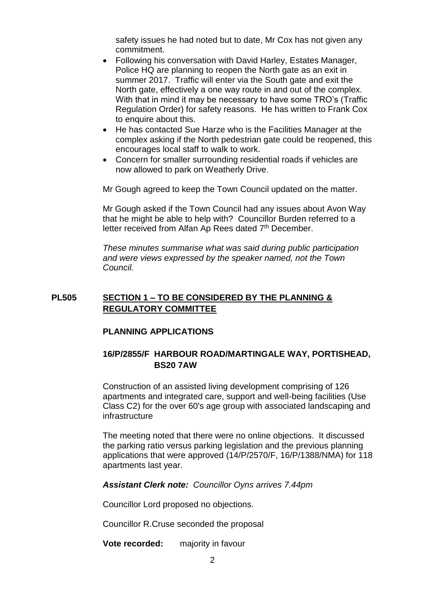safety issues he had noted but to date, Mr Cox has not given any commitment.

- Following his conversation with David Harley, Estates Manager, Police HQ are planning to reopen the North gate as an exit in summer 2017. Traffic will enter via the South gate and exit the North gate, effectively a one way route in and out of the complex. With that in mind it may be necessary to have some TRO's (Traffic Regulation Order) for safety reasons. He has written to Frank Cox to enquire about this.
- He has contacted Sue Harze who is the Facilities Manager at the complex asking if the North pedestrian gate could be reopened, this encourages local staff to walk to work.
- Concern for smaller surrounding residential roads if vehicles are now allowed to park on Weatherly Drive.

Mr Gough agreed to keep the Town Council updated on the matter.

Mr Gough asked if the Town Council had any issues about Avon Way that he might be able to help with? Councillor Burden referred to a letter received from Alfan Ap Rees dated 7<sup>th</sup> December.

*These minutes summarise what was said during public participation and were views expressed by the speaker named, not the Town Council.*

# **PL505 SECTION 1 – TO BE CONSIDERED BY THE PLANNING & REGULATORY COMMITTEE**

## **PLANNING APPLICATIONS**

# **16/P/2855/F HARBOUR ROAD/MARTINGALE WAY, PORTISHEAD, BS20 7AW**

Construction of an assisted living development comprising of 126 apartments and integrated care, support and well-being facilities (Use Class C2) for the over 60's age group with associated landscaping and infrastructure

The meeting noted that there were no online objections. It discussed the parking ratio versus parking legislation and the previous planning applications that were approved (14/P/2570/F, 16/P/1388/NMA) for 118 apartments last year.

## *Assistant Clerk note: Councillor Oyns arrives 7.44pm*

Councillor Lord proposed no objections.

Councillor R.Cruse seconded the proposal

**Vote recorded:** majority in favour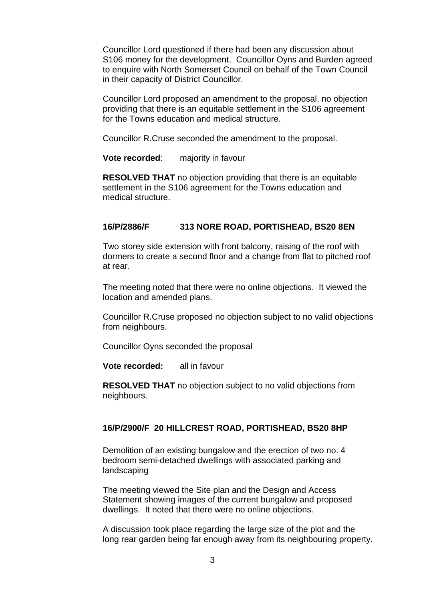Councillor Lord questioned if there had been any discussion about S106 money for the development. Councillor Oyns and Burden agreed to enquire with North Somerset Council on behalf of the Town Council in their capacity of District Councillor.

Councillor Lord proposed an amendment to the proposal, no objection providing that there is an equitable settlement in the S106 agreement for the Towns education and medical structure.

Councillor R.Cruse seconded the amendment to the proposal.

**Vote recorded:** majority in favour

**RESOLVED THAT** no objection providing that there is an equitable settlement in the S106 agreement for the Towns education and medical structure.

#### **16/P/2886/F 313 NORE ROAD, PORTISHEAD, BS20 8EN**

Two storey side extension with front balcony, raising of the roof with dormers to create a second floor and a change from flat to pitched roof at rear.

The meeting noted that there were no online objections. It viewed the location and amended plans.

Councillor R.Cruse proposed no objection subject to no valid objections from neighbours.

Councillor Oyns seconded the proposal

**Vote recorded:** all in favour

**RESOLVED THAT** no objection subject to no valid objections from neighbours.

#### **16/P/2900/F 20 HILLCREST ROAD, PORTISHEAD, BS20 8HP**

Demolition of an existing bungalow and the erection of two no. 4 bedroom semi-detached dwellings with associated parking and landscaping

The meeting viewed the Site plan and the Design and Access Statement showing images of the current bungalow and proposed dwellings. It noted that there were no online objections.

A discussion took place regarding the large size of the plot and the long rear garden being far enough away from its neighbouring property.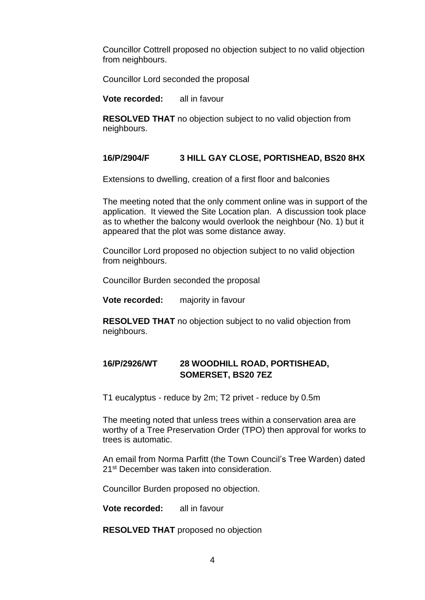Councillor Cottrell proposed no objection subject to no valid objection from neighbours.

Councillor Lord seconded the proposal

**Vote recorded:** all in favour

**RESOLVED THAT** no objection subject to no valid objection from neighbours.

# **16/P/2904/F 3 HILL GAY CLOSE, PORTISHEAD, BS20 8HX**

Extensions to dwelling, creation of a first floor and balconies

The meeting noted that the only comment online was in support of the application. It viewed the Site Location plan. A discussion took place as to whether the balcony would overlook the neighbour (No. 1) but it appeared that the plot was some distance away.

Councillor Lord proposed no objection subject to no valid objection from neighbours.

Councillor Burden seconded the proposal

**Vote recorded:** majority in favour

**RESOLVED THAT** no objection subject to no valid objection from neighbours.

# **16/P/2926/WT 28 WOODHILL ROAD, PORTISHEAD, SOMERSET, BS20 7EZ**

T1 eucalyptus - reduce by 2m; T2 privet - reduce by 0.5m

The meeting noted that unless trees within a conservation area are worthy of a Tree Preservation Order (TPO) then approval for works to trees is automatic.

An email from Norma Parfitt (the Town Council's Tree Warden) dated 21<sup>st</sup> December was taken into consideration.

Councillor Burden proposed no objection.

**Vote recorded:** all in favour

**RESOLVED THAT** proposed no objection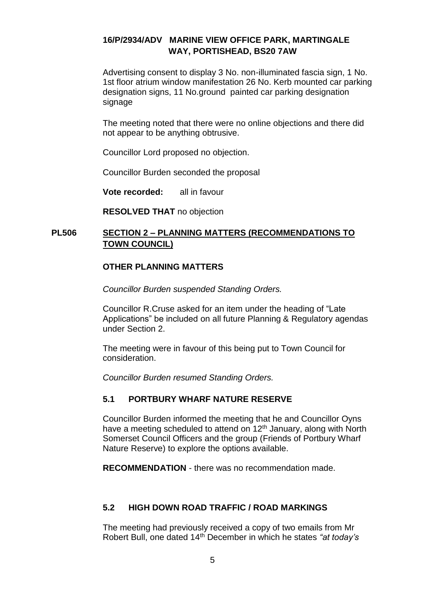# **16/P/2934/ADV MARINE VIEW OFFICE PARK, MARTINGALE WAY, PORTISHEAD, BS20 7AW**

Advertising consent to display 3 No. non-illuminated fascia sign, 1 No. 1st floor atrium window manifestation 26 No. Kerb mounted car parking designation signs, 11 No.ground painted car parking designation signage

The meeting noted that there were no online objections and there did not appear to be anything obtrusive.

Councillor Lord proposed no objection.

Councillor Burden seconded the proposal

**Vote recorded:** all in favour

**RESOLVED THAT** no objection

# **PL506 SECTION 2 – PLANNING MATTERS (RECOMMENDATIONS TO TOWN COUNCIL)**

## **OTHER PLANNING MATTERS**

*Councillor Burden suspended Standing Orders.*

Councillor R.Cruse asked for an item under the heading of "Late Applications" be included on all future Planning & Regulatory agendas under Section 2.

The meeting were in favour of this being put to Town Council for consideration.

*Councillor Burden resumed Standing Orders.*

## **5.1 PORTBURY WHARF NATURE RESERVE**

Councillor Burden informed the meeting that he and Councillor Oyns have a meeting scheduled to attend on  $12<sup>th</sup>$  January, along with North Somerset Council Officers and the group (Friends of Portbury Wharf Nature Reserve) to explore the options available.

**RECOMMENDATION** - there was no recommendation made.

# **5.2 HIGH DOWN ROAD TRAFFIC / ROAD MARKINGS**

The meeting had previously received a copy of two emails from Mr Robert Bull, one dated 14th December in which he states *"at today's*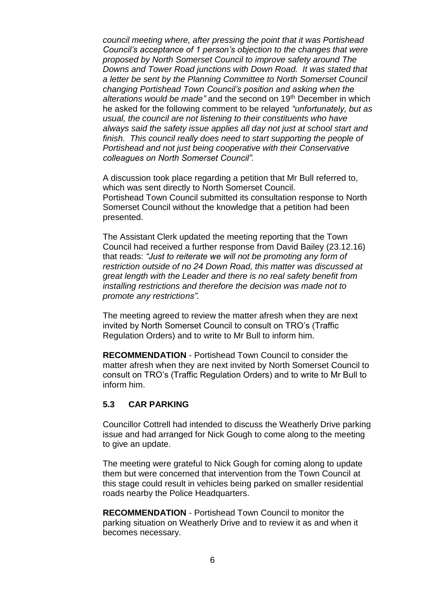*council meeting where, after pressing the point that it was Portishead Council's acceptance of 1 person's objection to the changes that were proposed by North Somerset Council to improve safety around The Downs and Tower Road junctions with Down Road. It was stated that a letter be sent by the Planning Committee to North Somerset Council changing Portishead Town Council's position and asking when the alterations would be made"* and the second on 19th December in which he asked for the following comment to be relayed *"unfortunately, but as usual, the council are not listening to their constituents who have always said the safety issue applies all day not just at school start and finish. This council really does need to start supporting the people of Portishead and not just being cooperative with their Conservative colleagues on North Somerset Council".*

A discussion took place regarding a petition that Mr Bull referred to, which was sent directly to North Somerset Council. Portishead Town Council submitted its consultation response to North Somerset Council without the knowledge that a petition had been presented.

The Assistant Clerk updated the meeting reporting that the Town Council had received a further response from David Bailey (23.12.16) that reads: *"Just to reiterate we will not be promoting any form of restriction outside of no 24 Down Road, this matter was discussed at great length with the Leader and there is no real safety benefit from installing restrictions and therefore the decision was made not to promote any restrictions".* 

The meeting agreed to review the matter afresh when they are next invited by North Somerset Council to consult on TRO's (Traffic Regulation Orders) and to write to Mr Bull to inform him.

**RECOMMENDATION** - Portishead Town Council to consider the matter afresh when they are next invited by North Somerset Council to consult on TRO's (Traffic Regulation Orders) and to write to Mr Bull to inform him.

#### **5.3 CAR PARKING**

Councillor Cottrell had intended to discuss the Weatherly Drive parking issue and had arranged for Nick Gough to come along to the meeting to give an update.

The meeting were grateful to Nick Gough for coming along to update them but were concerned that intervention from the Town Council at this stage could result in vehicles being parked on smaller residential roads nearby the Police Headquarters.

**RECOMMENDATION** - Portishead Town Council to monitor the parking situation on Weatherly Drive and to review it as and when it becomes necessary.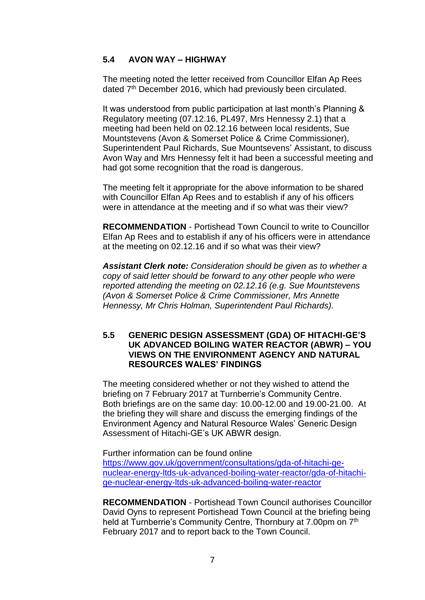# **5.4 AVON WAY – HIGHWAY**

The meeting noted the letter received from Councillor Elfan Ap Rees dated 7<sup>th</sup> December 2016, which had previously been circulated.

It was understood from public participation at last month's Planning & Regulatory meeting (07.12.16, PL497, Mrs Hennessy 2.1) that a meeting had been held on 02.12.16 between local residents, Sue Mountstevens (Avon & Somerset Police & Crime Commissioner), Superintendent Paul Richards, Sue Mountsevens' Assistant, to discuss Avon Way and Mrs Hennessy felt it had been a successful meeting and had got some recognition that the road is dangerous.

The meeting felt it appropriate for the above information to be shared with Councillor Elfan Ap Rees and to establish if any of his officers were in attendance at the meeting and if so what was their view?

**RECOMMENDATION** - Portishead Town Council to write to Councillor Elfan Ap Rees and to establish if any of his officers were in attendance at the meeting on 02.12.16 and if so what was their view?

*Assistant Clerk note: Consideration should be given as to whether a copy of said letter should be forward to any other people who were reported attending the meeting on 02.12.16 (e.g. Sue Mountstevens (Avon & Somerset Police & Crime Commissioner, Mrs Annette Hennessy, Mr Chris Holman, Superintendent Paul Richards).*

### **5.5 GENERIC DESIGN ASSESSMENT (GDA) OF HITACHI-GE'S UK ADVANCED BOILING WATER REACTOR (ABWR) – YOU VIEWS ON THE ENVIRONMENT AGENCY AND NATURAL RESOURCES WALES' FINDINGS**

The meeting considered whether or not they wished to attend the briefing on 7 February 2017 at Turnberrie's Community Centre. Both briefings are on the same day: 10.00-12.00 and 19.00-21.00. At the briefing they will share and discuss the emerging findings of the Environment Agency and Natural Resource Wales' Generic Design Assessment of Hitachi-GE's UK ABWR design.

Further information can be found online

[https://www.gov.uk/government/consultations/gda-of-hitachi-ge](https://www.gov.uk/government/consultations/gda-of-hitachi-ge-nuclear-energy-ltds-uk-advanced-boiling-water-reactor/gda-of-hitachi-ge-nuclear-energy-ltds-uk-advanced-boiling-water-reactor)[nuclear-energy-ltds-uk-advanced-boiling-water-reactor/gda-of-hitachi](https://www.gov.uk/government/consultations/gda-of-hitachi-ge-nuclear-energy-ltds-uk-advanced-boiling-water-reactor/gda-of-hitachi-ge-nuclear-energy-ltds-uk-advanced-boiling-water-reactor)[ge-nuclear-energy-ltds-uk-advanced-boiling-water-reactor](https://www.gov.uk/government/consultations/gda-of-hitachi-ge-nuclear-energy-ltds-uk-advanced-boiling-water-reactor/gda-of-hitachi-ge-nuclear-energy-ltds-uk-advanced-boiling-water-reactor)

**RECOMMENDATION** - Portishead Town Council authorises Councillor David Oyns to represent Portishead Town Council at the briefing being held at Turnberrie's Community Centre, Thornbury at 7,00pm on 7<sup>th</sup> February 2017 and to report back to the Town Council.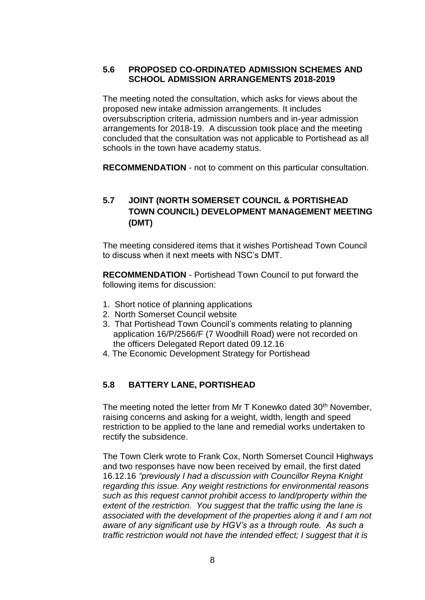# **5.6 PROPOSED CO-ORDINATED ADMISSION SCHEMES AND SCHOOL ADMISSION ARRANGEMENTS 2018-2019**

The meeting noted the consultation, which asks for views about the proposed new intake admission arrangements. It includes oversubscription criteria, admission numbers and in-year admission arrangements for 2018-19. A discussion took place and the meeting concluded that the consultation was not applicable to Portishead as all schools in the town have academy status.

**RECOMMENDATION** - not to comment on this particular consultation.

# **5.7 JOINT (NORTH SOMERSET COUNCIL & PORTISHEAD TOWN COUNCIL) DEVELOPMENT MANAGEMENT MEETING (DMT)**

The meeting considered items that it wishes Portishead Town Council to discuss when it next meets with NSC's DMT.

**RECOMMENDATION** - Portishead Town Council to put forward the following items for discussion:

- 1. Short notice of planning applications
- 2. North Somerset Council website
- 3. That Portishead Town Council's comments relating to planning application 16/P/2566/F (7 Woodhill Road) were not recorded on the officers Delegated Report dated 09.12.16
- 4. The Economic Development Strategy for Portishead

# **5.8 BATTERY LANE, PORTISHEAD**

The meeting noted the letter from Mr T Konewko dated 30<sup>th</sup> November, raising concerns and asking for a weight, width, length and speed restriction to be applied to the lane and remedial works undertaken to rectify the subsidence.

The Town Clerk wrote to Frank Cox, North Somerset Council Highways and two responses have now been received by email, the first dated 16.12.16 *"previously I had a discussion with Councillor Reyna Knight regarding this issue. Any weight restrictions for environmental reasons such as this request cannot prohibit access to land/property within the extent of the restriction. You suggest that the traffic using the lane is associated with the development of the properties along it and I am not aware of any significant use by HGV's as a through route. As such a traffic restriction would not have the intended effect; I suggest that it is*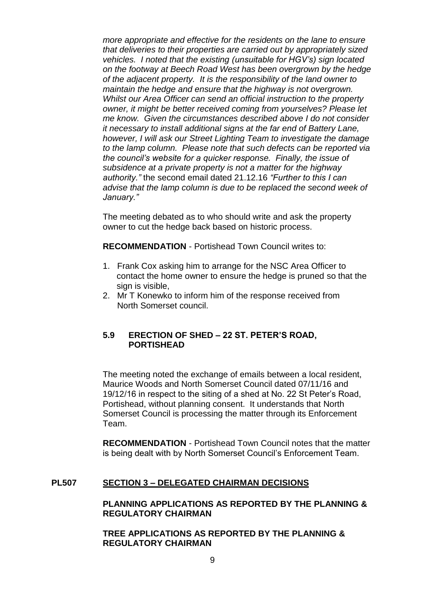*more appropriate and effective for the residents on the lane to ensure that deliveries to their properties are carried out by appropriately sized vehicles. I noted that the existing (unsuitable for HGV's) sign located on the footway at Beech Road West has been overgrown by the hedge of the adjacent property. It is the responsibility of the land owner to maintain the hedge and ensure that the highway is not overgrown. Whilst our Area Officer can send an official instruction to the property owner, it might be better received coming from yourselves? Please let me know. Given the circumstances described above I do not consider it necessary to install additional signs at the far end of Battery Lane, however, I will ask our Street Lighting Team to investigate the damage to the lamp column. Please note that such defects can be reported via the council's website for a quicker response. Finally, the issue of subsidence at a private property is not a matter for the highway authority."* the second email dated 21.12.16 *"Further to this I can advise that the lamp column is due to be replaced the second week of January."*

The meeting debated as to who should write and ask the property owner to cut the hedge back based on historic process.

**RECOMMENDATION** - Portishead Town Council writes to:

- 1. Frank Cox asking him to arrange for the NSC Area Officer to contact the home owner to ensure the hedge is pruned so that the sign is visible.
- 2. Mr T Konewko to inform him of the response received from North Somerset council.

## **5.9 ERECTION OF SHED – 22 ST. PETER'S ROAD, PORTISHEAD**

The meeting noted the exchange of emails between a local resident, Maurice Woods and North Somerset Council dated 07/11/16 and 19/12/16 in respect to the siting of a shed at No. 22 St Peter's Road, Portishead, without planning consent. It understands that North Somerset Council is processing the matter through its Enforcement Team.

**RECOMMENDATION** - Portishead Town Council notes that the matter is being dealt with by North Somerset Council's Enforcement Team.

## **PL507 SECTION 3 – DELEGATED CHAIRMAN DECISIONS**

#### **PLANNING APPLICATIONS AS REPORTED BY THE PLANNING & REGULATORY CHAIRMAN**

**TREE APPLICATIONS AS REPORTED BY THE PLANNING & REGULATORY CHAIRMAN**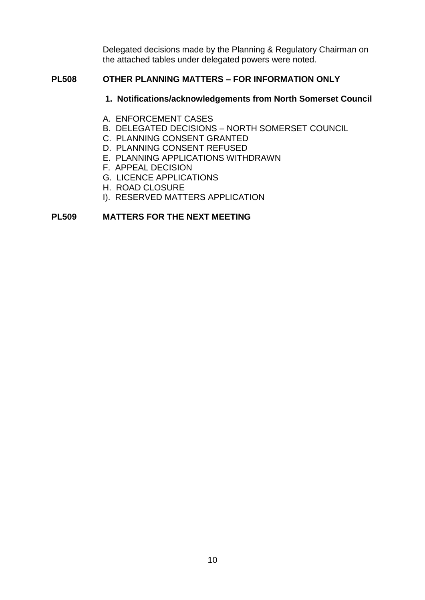Delegated decisions made by the Planning & Regulatory Chairman on the attached tables under delegated powers were noted.

### **PL508 OTHER PLANNING MATTERS – FOR INFORMATION ONLY**

#### **1. Notifications/acknowledgements from North Somerset Council**

- A. ENFORCEMENT CASES
- B. DELEGATED DECISIONS NORTH SOMERSET COUNCIL
- C. PLANNING CONSENT GRANTED
- D. PLANNING CONSENT REFUSED
- E. PLANNING APPLICATIONS WITHDRAWN
- F. APPEAL DECISION
- G. LICENCE APPLICATIONS
- H. ROAD CLOSURE
- I). RESERVED MATTERS APPLICATION

#### **PL509 MATTERS FOR THE NEXT MEETING**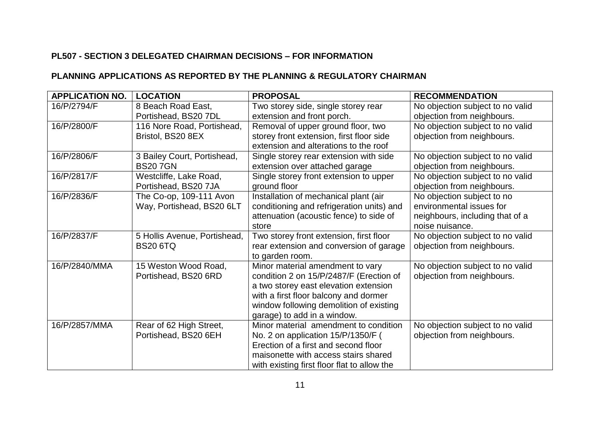# **PL507 - SECTION 3 DELEGATED CHAIRMAN DECISIONS – FOR INFORMATION**

# **PLANNING APPLICATIONS AS REPORTED BY THE PLANNING & REGULATORY CHAIRMAN**

| <b>APPLICATION NO.</b> | <b>LOCATION</b>                                      | <b>PROPOSAL</b>                                                                                                                                                                                                                         | <b>RECOMMENDATION</b>                                                                                        |
|------------------------|------------------------------------------------------|-----------------------------------------------------------------------------------------------------------------------------------------------------------------------------------------------------------------------------------------|--------------------------------------------------------------------------------------------------------------|
| 16/P/2794/F            | 8 Beach Road East,<br>Portishead, BS20 7DL           | Two storey side, single storey rear<br>extension and front porch.                                                                                                                                                                       | No objection subject to no valid<br>objection from neighbours.                                               |
| 16/P/2800/F            | 116 Nore Road, Portishead,<br>Bristol, BS20 8EX      | Removal of upper ground floor, two<br>storey front extension, first floor side<br>extension and alterations to the roof                                                                                                                 | No objection subject to no valid<br>objection from neighbours.                                               |
| 16/P/2806/F            | 3 Bailey Court, Portishead,<br><b>BS207GN</b>        | Single storey rear extension with side<br>extension over attached garage                                                                                                                                                                | No objection subject to no valid<br>objection from neighbours.                                               |
| 16/P/2817/F            | Westcliffe, Lake Road,<br>Portishead, BS20 7JA       | Single storey front extension to upper<br>ground floor                                                                                                                                                                                  | No objection subject to no valid<br>objection from neighbours.                                               |
| 16/P/2836/F            | The Co-op, 109-111 Avon<br>Way, Portishead, BS20 6LT | Installation of mechanical plant (air<br>conditioning and refrigeration units) and<br>attenuation (acoustic fence) to side of<br>store                                                                                                  | No objection subject to no<br>environmental issues for<br>neighbours, including that of a<br>noise nuisance. |
| 16/P/2837/F            | 5 Hollis Avenue, Portishead,<br><b>BS20 6TQ</b>      | Two storey front extension, first floor<br>rear extension and conversion of garage<br>to garden room.                                                                                                                                   | No objection subject to no valid<br>objection from neighbours.                                               |
| 16/P/2840/MMA          | 15 Weston Wood Road,<br>Portishead, BS20 6RD         | Minor material amendment to vary<br>condition 2 on 15/P/2487/F (Erection of<br>a two storey east elevation extension<br>with a first floor balcony and dormer<br>window following demolition of existing<br>garage) to add in a window. | No objection subject to no valid<br>objection from neighbours.                                               |
| 16/P/2857/MMA          | Rear of 62 High Street,<br>Portishead, BS20 6EH      | Minor material amendment to condition<br>No. 2 on application 15/P/1350/F (<br>Erection of a first and second floor<br>maisonette with access stairs shared<br>with existing first floor flat to allow the                              | No objection subject to no valid<br>objection from neighbours.                                               |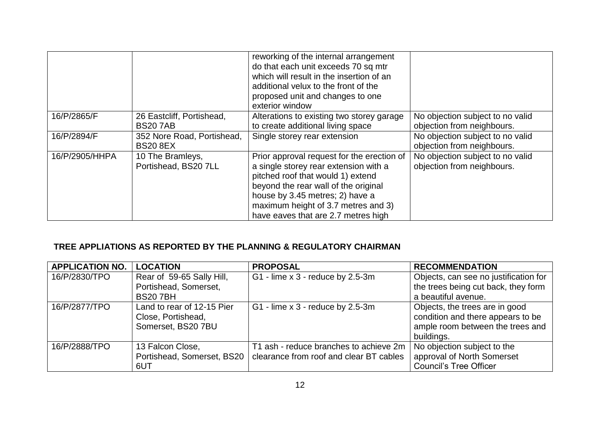|                |                                               | reworking of the internal arrangement<br>do that each unit exceeds 70 sq mtr<br>which will result in the insertion of an<br>additional velux to the front of the<br>proposed unit and changes to one<br>exterior window                                                           |                                                                |
|----------------|-----------------------------------------------|-----------------------------------------------------------------------------------------------------------------------------------------------------------------------------------------------------------------------------------------------------------------------------------|----------------------------------------------------------------|
| 16/P/2865/F    | 26 Eastcliff, Portishead,<br><b>BS207AB</b>   | Alterations to existing two storey garage<br>to create additional living space                                                                                                                                                                                                    | No objection subject to no valid<br>objection from neighbours. |
| 16/P/2894/F    | 352 Nore Road, Portishead,<br><b>BS20 8EX</b> | Single storey rear extension                                                                                                                                                                                                                                                      | No objection subject to no valid<br>objection from neighbours. |
| 16/P/2905/HHPA | 10 The Bramleys,<br>Portishead, BS20 7LL      | Prior approval request for the erection of<br>a single storey rear extension with a<br>pitched roof that would 1) extend<br>beyond the rear wall of the original<br>house by 3.45 metres; 2) have a<br>maximum height of 3.7 metres and 3)<br>have eaves that are 2.7 metres high | No objection subject to no valid<br>objection from neighbours. |

# **TREE APPLIATIONS AS REPORTED BY THE PLANNING & REGULATORY CHAIRMAN**

| <b>APPLICATION NO.</b> | <b>LOCATION</b>            | <b>PROPOSAL</b>                         | <b>RECOMMENDATION</b>                 |
|------------------------|----------------------------|-----------------------------------------|---------------------------------------|
| 16/P/2830/TPO          | Rear of 59-65 Sally Hill,  | G1 - lime x 3 - reduce by 2.5-3m        | Objects, can see no justification for |
|                        | Portishead, Somerset,      |                                         | the trees being cut back, they form   |
|                        | <b>BS207BH</b>             |                                         | a beautiful avenue.                   |
| 16/P/2877/TPO          | Land to rear of 12-15 Pier | G1 - lime x 3 - reduce by 2.5-3m        | Objects, the trees are in good        |
|                        | Close, Portishead,         |                                         | condition and there appears to be     |
|                        | Somerset, BS20 7BU         |                                         | ample room between the trees and      |
|                        |                            |                                         | buildings.                            |
| 16/P/2888/TPO          | 13 Falcon Close,           | T1 ash - reduce branches to achieve 2m  | No objection subject to the           |
|                        | Portishead, Somerset, BS20 | clearance from roof and clear BT cables | approval of North Somerset            |
|                        | 6UT                        |                                         | <b>Council's Tree Officer</b>         |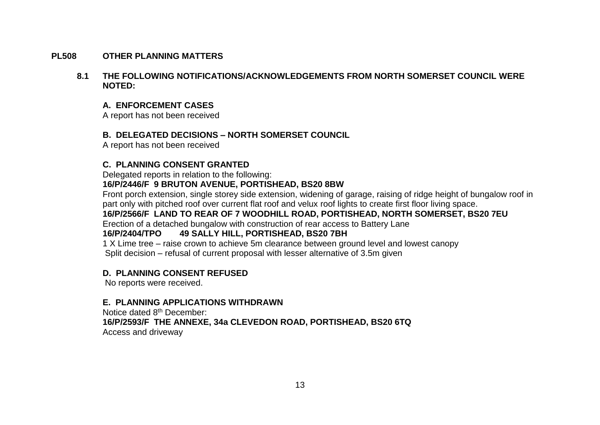#### **PL508 OTHER PLANNING MATTERS**

#### **8.1 THE FOLLOWING NOTIFICATIONS/ACKNOWLEDGEMENTS FROM NORTH SOMERSET COUNCIL WERE NOTED:**

### **A. ENFORCEMENT CASES**

A report has not been received

## **B. DELEGATED DECISIONS – NORTH SOMERSET COUNCIL**

A report has not been received

# **C. PLANNING CONSENT GRANTED**

Delegated reports in relation to the following:

# **16/P/2446/F 9 BRUTON AVENUE, PORTISHEAD, BS20 8BW**

Front porch extension, single storey side extension, widening of garage, raising of ridge height of bungalow roof in part only with pitched roof over current flat roof and velux roof lights to create first floor living space.

# **16/P/2566/F LAND TO REAR OF 7 WOODHILL ROAD, PORTISHEAD, NORTH SOMERSET, BS20 7EU**

Erection of a detached bungalow with construction of rear access to Battery Lane

## **16/P/2404/TPO 49 SALLY HILL, PORTISHEAD, BS20 7BH**

 1 X Lime tree – raise crown to achieve 5m clearance between ground level and lowest canopy Split decision – refusal of current proposal with lesser alternative of 3.5m given

## **D. PLANNING CONSENT REFUSED**

No reports were received.

## **E. PLANNING APPLICATIONS WITHDRAWN**

Notice dated 8th December:  **16/P/2593/F THE ANNEXE, 34a CLEVEDON ROAD, PORTISHEAD, BS20 6TQ** Access and driveway